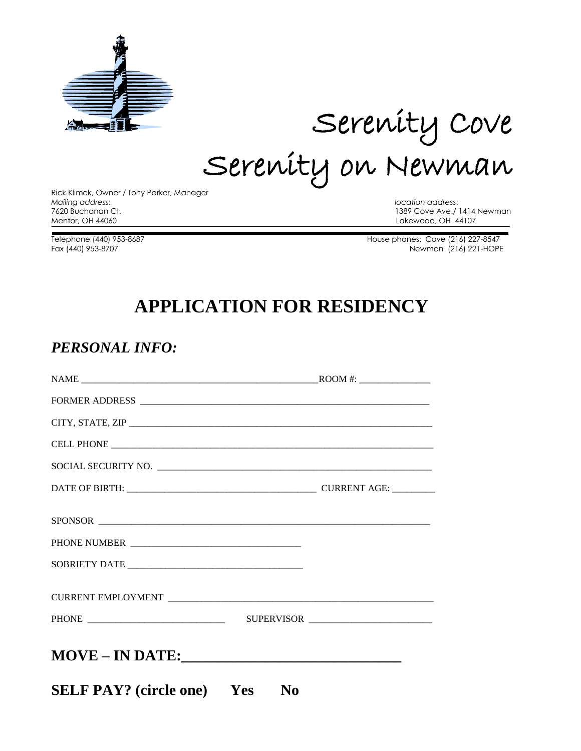

# Serenity Cove Serenity on Newman

Rick Klimek, Owner / Tony Parker, Manager *Mailing address*: *location address*: Mentor, OH 44060 Lakewood, OH 44107

1389 Cove Ave./ 1414 Newman

Telephone (440) 953-8687 House phones: Cove (216) 227-8547 Fax (440) 953-8707 Newman (216) 221-HOPE

## **APPLICATION FOR RESIDENCY**

#### *PERSONAL INFO:*

| SOCIAL SECURITY NO.               |                |  |
|-----------------------------------|----------------|--|
|                                   |                |  |
|                                   |                |  |
| PHONE NUMBER                      |                |  |
|                                   |                |  |
|                                   |                |  |
|                                   |                |  |
| <b>MOVE - IN DATE:</b>            |                |  |
| <b>SELF PAY?</b> (circle one) Yes | N <sub>0</sub> |  |